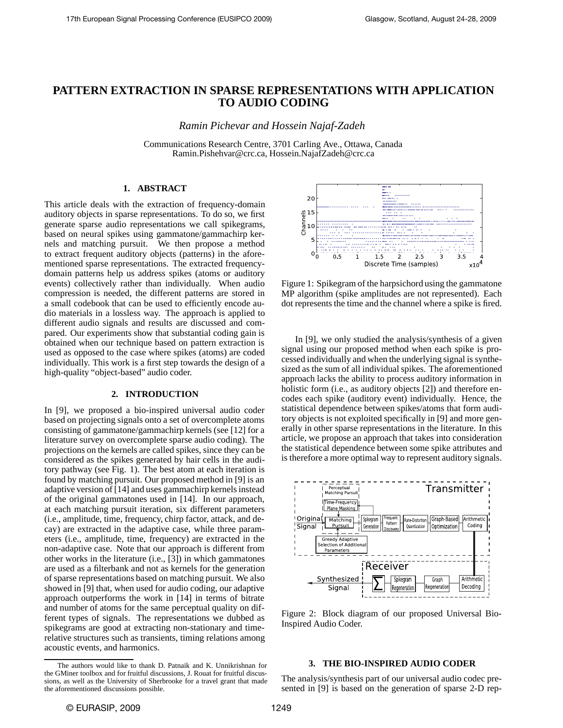# **PATTERN EXTRACTION IN SPARSE REPRESENTATIONS WITH APPLICATION TO AUDIO CODING**

*Ramin Pichevar and Hossein Najaf-Zadeh*

Communications Research Centre, 3701 Carling Ave., Ottawa, Canada Ramin.Pishehvar@crc.ca, Hossein.NajafZadeh@crc.ca

# **1. ABSTRACT**

This article deals with the extraction of frequency-domain auditory objects in sparse representations. To do so, we first generate sparse audio representations we call spikegrams, based on neural spikes using gammatone/gammachirp kernels and matching pursuit. We then propose a method to extract frequent auditory objects (patterns) in the aforementioned sparse representations. The extracted frequencydomain patterns help us address spikes (atoms or auditory events) collectively rather than individually. When audio compression is needed, the different patterns are stored in a small codebook that can be used to efficiently encode audio materials in a lossless way. The approach is applied to different audio signals and results are discussed and compared. Our experiments show that substantial coding gain is obtained when our technique based on pattern extraction is used as opposed to the case where spikes (atoms) are coded individually. This work is a first step towards the design of a high-quality "object-based" audio coder.

# **2. INTRODUCTION**

In [9], we proposed a bio-inspired universal audio coder based on projecting signals onto a set of overcomplete atoms consisting of gammatone/gammachirp kernels (see [12] for a literature survey on overcomplete sparse audio coding). The projections on the kernels are called spikes, since they can be considered as the spikes generated by hair cells in the auditory pathway (see Fig. 1). The best atom at each iteration is found by matching pursuit. Our proposed method in [9] is an adaptive version of [14] and uses gammachirp kernels instead of the original gammatones used in [14]. In our approach, at each matching pursuit iteration, six different parameters (i.e., amplitude, time, frequency, chirp factor, attack, and decay) are extracted in the adaptive case, while three parameters (i.e., amplitude, time, frequency) are extracted in the non-adaptive case. Note that our approach is different from other works in the literature (i.e., [3]) in which gammatones are used as a filterbank and not as kernels for the generation of sparse representations based on matching pursuit. We also showed in [9] that, when used for audio coding, our adaptive approach outperforms the work in [14] in terms of bitrate and number of atoms for the same perceptual quality on different types of signals. The representations we dubbed as spikegrams are good at extracting non-stationary and timerelative structures such as transients, timing relations among acoustic events, and harmonics.



Figure 1: Spikegram of the harpsichord using the gammatone MP algorithm (spike amplitudes are not represented). Each dot represents the time and the channel where a spike is fired.

In [9], we only studied the analysis/synthesis of a given signal using our proposed method when each spike is processed individually and when the underlying signal is synthesized as the sum of all individual spikes. The aforementioned approach lacks the ability to process auditory information in holistic form (i.e., as auditory objects [2]) and therefore encodes each spike (auditory event) individually. Hence, the statistical dependence between spikes/atoms that form auditory objects is not exploited specifically in [9] and more generally in other sparse representations in the literature. In this article, we propose an approach that takes into consideration the statistical dependence between some spike attributes and is therefore a more optimal way to represent auditory signals.



Figure 2: Block diagram of our proposed Universal Bio-Inspired Audio Coder.

# **3. THE BIO-INSPIRED AUDIO CODER**

The analysis/synthesis part of our universal audio codec presented in [9] is based on the generation of sparse 2-D rep-

The authors would like to thank D. Patnaik and K. Unnikrishnan for the GMiner toolbox and for fruitful discussions, J. Rouat for fruitful discussions, as well as the University of Sherbrooke for a travel grant that made the aforementioned discussions possible.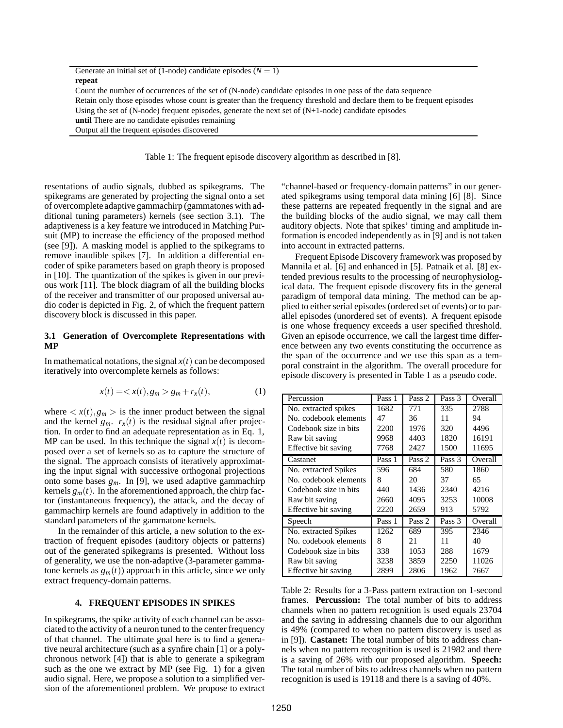| Generate an initial set of (1-node) candidate episodes $(N = 1)$                                                        |
|-------------------------------------------------------------------------------------------------------------------------|
| repeat                                                                                                                  |
| Count the number of occurrences of the set of (N-node) candidate episodes in one pass of the data sequence              |
| Retain only those episodes whose count is greater than the frequency threshold and declare them to be frequent episodes |
| Using the set of $(N$ -node) frequent episodes, generate the next set of $(N+1)$ -node) candidate episodes              |
| <b>until</b> There are no candidate episodes remaining                                                                  |
| Output all the frequent episodes discovered                                                                             |
|                                                                                                                         |

Table 1: The frequent episode discovery algorithm as described in [8].

resentations of audio signals, dubbed as spikegrams. The spikegrams are generated by projecting the signal onto a set of overcomplete adaptive gammachirp (gammatones with additional tuning parameters) kernels (see section 3.1). The adaptiveness is a key feature we introduced in Matching Pursuit (MP) to increase the efficiency of the proposed method (see [9]). A masking model is applied to the spikegrams to remove inaudible spikes [7]. In addition a differential encoder of spike parameters based on graph theory is proposed in [10]. The quantization of the spikes is given in our previous work [11]. The block diagram of all the building blocks of the receiver and transmitter of our proposed universal audio coder is depicted in Fig. 2, of which the frequent pattern discovery block is discussed in this paper.

# **3.1 Generation of Overcomplete Representations with MP**

In mathematical notations, the signal  $x(t)$  can be decomposed iteratively into overcomplete kernels as follows:

$$
x(t) = \langle x(t), g_m \rangle g_m + r_x(t), \qquad (1)
$$

where  $\langle x(t), g_m \rangle$  is the inner product between the signal and the kernel  $g_m$ .  $r_x(t)$  is the residual signal after projection. In order to find an adequate representation as in Eq. 1, MP can be used. In this technique the signal  $x(t)$  is decomposed over a set of kernels so as to capture the structure of the signal. The approach consists of iteratively approximating the input signal with successive orthogonal projections onto some bases  $g_m$ . In [9], we used adaptive gammachirp kernels  $g_m(t)$ . In the aforementioned approach, the chirp factor (instantaneous frequency), the attack, and the decay of gammachirp kernels are found adaptively in addition to the standard parameters of the gammatone kernels.

In the remainder of this article, a new solution to the extraction of frequent episodes (auditory objects or patterns) out of the generated spikegrams is presented. Without loss of generality, we use the non-adaptive (3-parameter gammatone kernels as  $g_m(t)$ ) approach in this article, since we only extract frequency-domain patterns.

# **4. FREQUENT EPISODES IN SPIKES**

In spikegrams, the spike activity of each channel can be associated to the activity of a neuron tuned to the center frequency of that channel. The ultimate goal here is to find a generative neural architecture (such as a synfire chain [1] or a polychronous network [4]) that is able to generate a spikegram such as the one we extract by MP (see Fig. 1) for a given audio signal. Here, we propose a solution to a simplified version of the aforementioned problem. We propose to extract "channel-based or frequency-domain patterns" in our generated spikegrams using temporal data mining [6] [8]. Since these patterns are repeated frequently in the signal and are the building blocks of the audio signal, we may call them auditory objects. Note that spikes' timing and amplitude information is encoded independently as in [9] and is not taken into account in extracted patterns.

Frequent Episode Discovery framework was proposed by Mannila et al. [6] and enhanced in [5]. Patnaik et al. [8] extended previous results to the processing of neurophysiological data. The frequent episode discovery fits in the general paradigm of temporal data mining. The method can be applied to either serial episodes (ordered set of events) or to parallel episodes (unordered set of events). A frequent episode is one whose frequency exceeds a user specified threshold. Given an episode occurrence, we call the largest time difference between any two events constituting the occurrence as the span of the occurrence and we use this span as a temporal constraint in the algorithm. The overall procedure for episode discovery is presented in Table 1 as a pseudo code.

| Percussion            | Pass 1 | Pass 2 | Pass 3 | Overall |
|-----------------------|--------|--------|--------|---------|
| No. extracted spikes  | 1682   | 771    | 335    | 2788    |
| No. codebook elements | 47     | 36     | 11     | 94      |
| Codebook size in bits | 2200   | 1976   | 320    | 4496    |
| Raw bit saving        | 9968   | 4403   | 1820   | 16191   |
| Effective bit saving  | 7768   | 2427   | 1500   | 11695   |
| Castanet              | Pass 1 | Pass 2 | Pass 3 | Overall |
| No. extracted Spikes  | 596    | 684    | 580    | 1860    |
| No. codebook elements | 8      | 20     | 37     | 65      |
| Codebook size in bits | 440    | 1436   | 2340   | 4216    |
| Raw bit saving        | 2660   | 4095   | 3253   | 10008   |
| Effective bit saving  | 2220   | 2659   | 913    | 5792    |
| Speech                | Pass 1 | Pass 2 | Pass 3 | Overall |
| No. extracted Spikes  | 1262   | 689    | 395    | 2346    |
| No. codebook elements | 8      | 21     | 11     | 40      |
| Codebook size in bits | 338    | 1053   | 288    | 1679    |
| Raw bit saving        | 3238   | 3859   | 2250   | 11026   |
| Effective bit saving  | 2899   | 2806   | 1962   | 7667    |

Table 2: Results for a 3-Pass pattern extraction on 1-second frames. **Percussion:** The total number of bits to address channels when no pattern recognition is used equals 23704 and the saving in addressing channels due to our algorithm is 49% (compared to when no pattern discovery is used as in [9]). **Castanet:** The total number of bits to address channels when no pattern recognition is used is 21982 and there is a saving of 26% with our proposed algorithm. **Speech:** The total number of bits to address channels when no pattern recognition is used is 19118 and there is a saving of 40%.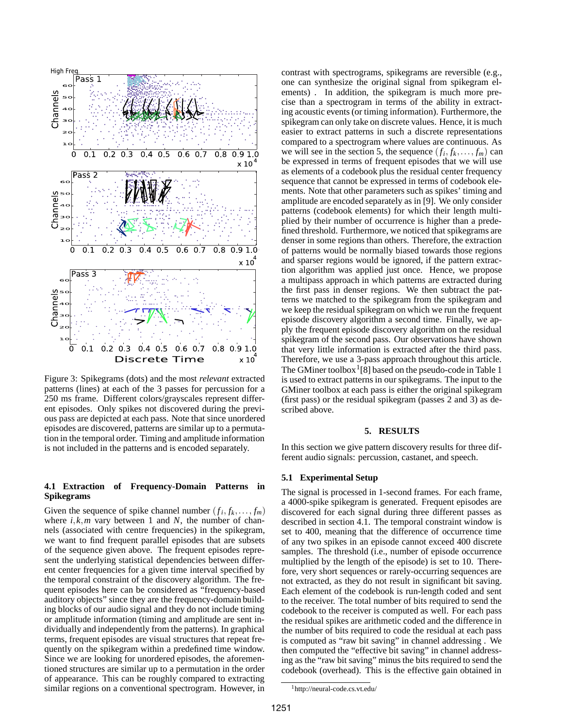

Figure 3: Spikegrams (dots) and the most *relevant* extracted patterns (lines) at each of the 3 passes for percussion for a 250 ms frame. Different colors/grayscales represent different episodes. Only spikes not discovered during the previous pass are depicted at each pass. Note that since unordered episodes are discovered, patterns are similar up to a permutation in the temporal order. Timing and amplitude information is not included in the patterns and is encoded separately.

# **4.1 Extraction of Frequency-Domain Patterns in Spikegrams**

Given the sequence of spike channel number  $(f_i, f_k, \ldots, f_m)$ where  $i, k, m$  vary between 1 and N, the number of channels (associated with centre frequencies) in the spikegram, we want to find frequent parallel episodes that are subsets of the sequence given above. The frequent episodes represent the underlying statistical dependencies between different center frequencies for a given time interval specified by the temporal constraint of the discovery algorithm. The frequent episodes here can be considered as "frequency-based auditory objects" since they are the frequency-domain building blocks of our audio signal and they do not include timing or amplitude information (timing and amplitude are sent individually and independently from the patterns). In graphical terms, frequent episodes are visual structures that repeat frequently on the spikegram within a predefined time window. Since we are looking for unordered episodes, the aforementioned structures are similar up to a permutation in the order of appearance. This can be roughly compared to extracting similar regions on a conventional spectrogram. However, in

contrast with spectrograms, spikegrams are reversible (e.g., one can synthesize the original signal from spikegram elements) . In addition, the spikegram is much more precise than a spectrogram in terms of the ability in extracting acoustic events (or timing information). Furthermore, the spikegram can only take on discrete values. Hence, it is much easier to extract patterns in such a discrete representations compared to a spectrogram where values are continuous. As we will see in the section 5, the sequence  $(f_i, f_k, \ldots, f_m)$  can be expressed in terms of frequent episodes that we will use as elements of a codebook plus the residual center frequency sequence that cannot be expressed in terms of codebook elements. Note that other parameters such as spikes' timing and amplitude are encoded separately as in [9]. We only consider patterns (codebook elements) for which their length multiplied by their number of occurrence is higher than a predefined threshold. Furthermore, we noticed that spikegrams are denser in some regions than others. Therefore, the extraction of patterns would be normally biased towards those regions and sparser regions would be ignored, if the pattern extraction algorithm was applied just once. Hence, we propose a multipass approach in which patterns are extracted during the first pass in denser regions. We then subtract the patterns we matched to the spikegram from the spikegram and we keep the residual spikegram on which we run the frequent episode discovery algorithm a second time. Finally, we apply the frequent episode discovery algorithm on the residual spikegram of the second pass. Our observations have shown that very little information is extracted after the third pass. Therefore, we use a 3-pass approach throughout this article. The GMiner toolbox<sup>1</sup>[8] based on the pseudo-code in Table 1 is used to extract patterns in our spikegrams. The input to the GMiner toolbox at each pass is either the original spikegram (first pass) or the residual spikegram (passes 2 and 3) as described above.

#### **5. RESULTS**

In this section we give pattern discovery results for three different audio signals: percussion, castanet, and speech.

#### **5.1 Experimental Setup**

The signal is processed in 1-second frames. For each frame, a 4000-spike spikegram is generated. Frequent episodes are discovered for each signal during three different passes as described in section 4.1. The temporal constraint window is set to 400, meaning that the difference of occurrence time of any two spikes in an episode cannot exceed 400 discrete samples. The threshold (i.e., number of episode occurrence multiplied by the length of the episode) is set to 10. Therefore, very short sequences or rarely-occurring sequences are not extracted, as they do not result in significant bit saving. Each element of the codebook is run-length coded and sent to the receiver. The total number of bits required to send the codebook to the receiver is computed as well. For each pass the residual spikes are arithmetic coded and the difference in the number of bits required to code the residual at each pass is computed as "raw bit saving" in channel addressing . We then computed the "effective bit saving" in channel addressing as the "raw bit saving" minus the bits required to send the codebook (overhead). This is the effective gain obtained in

<sup>&</sup>lt;sup>1</sup>http://neural-code.cs.vt.edu/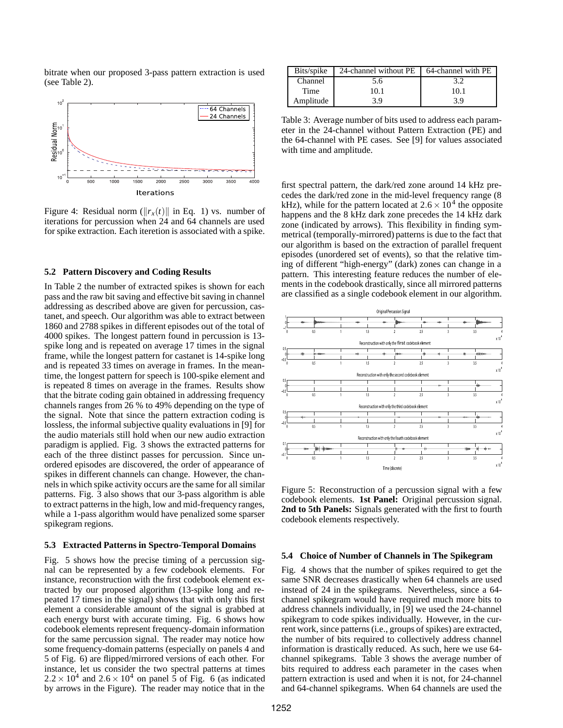bitrate when our proposed 3-pass pattern extraction is used (see Table 2).



Figure 4: Residual norm  $(||r_x(t)||$  in Eq. 1) vs. number of iterations for percussion when 24 and 64 channels are used for spike extraction. Each iteretion is associated with a spike.

# **5.2 Pattern Discovery and Coding Results**

In Table 2 the number of extracted spikes is shown for each pass and the raw bit saving and effective bit saving in channel addressing as described above are given for percussion, castanet, and speech. Our algorithm was able to extract between 1860 and 2788 spikes in different episodes out of the total of 4000 spikes. The longest pattern found in percussion is 13 spike long and is repeated on average 17 times in the signal frame, while the longest pattern for castanet is 14-spike long and is repeated 33 times on average in frames. In the meantime, the longest pattern for speech is 100-spike element and is repeated 8 times on average in the frames. Results show that the bitrate coding gain obtained in addressing frequency channels ranges from 26 % to 49% depending on the type of the signal. Note that since the pattern extraction coding is lossless, the informal subjective quality evaluations in [9] for the audio materials still hold when our new audio extraction paradigm is applied. Fig. 3 shows the extracted patterns for each of the three distinct passes for percussion. Since unordered episodes are discovered, the order of appearance of spikes in different channels can change. However, the channels in which spike activity occurs are the same for all similar patterns. Fig. 3 also shows that our 3-pass algorithm is able to extract patterns in the high, low and mid-frequency ranges, while a 1-pass algorithm would have penalized some sparser spikegram regions.

# **5.3 Extracted Patterns in Spectro-Temporal Domains**

Fig. 5 shows how the precise timing of a percussion signal can be represented by a few codebook elements. For instance, reconstruction with the first codebook element extracted by our proposed algorithm (13-spike long and repeated 17 times in the signal) shows that with only this first element a considerable amount of the signal is grabbed at each energy burst with accurate timing. Fig. 6 shows how codebook elements represent frequency-domain information for the same percussion signal. The reader may notice how some frequency-domain patterns (especially on panels 4 and 5 of Fig. 6) are flipped/mirrored versions of each other. For instance, let us consider the two spectral patterns at times  $2.2 \times 10^4$  and  $2.6 \times 10^4$  on panel 5 of Fig. 6 (as indicated by arrows in the Figure). The reader may notice that in the

| Bits/spike | 24-channel without PE | 64-channel with PE |
|------------|-----------------------|--------------------|
| Channel    | 5.6                   |                    |
| Time       | 10.1                  | 10.1               |
| Amplitude  | 3.9                   | 3.9                |

Table 3: Average number of bits used to address each parameter in the 24-channel without Pattern Extraction (PE) and the 64-channel with PE cases. See [9] for values associated with time and amplitude.

first spectral pattern, the dark/red zone around 14 kHz precedes the dark/red zone in the mid-level frequency range (8 kHz), while for the pattern located at  $2.6 \times 10^4$  the opposite happens and the 8 kHz dark zone precedes the 14 kHz dark zone (indicated by arrows). This flexibility in finding symmetrical (temporally-mirrored) patterns is due to the fact that our algorithm is based on the extraction of parallel frequent episodes (unordered set of events), so that the relative timing of different "high-energy" (dark) zones can change in a pattern. This interesting feature reduces the number of elements in the codebook drastically, since all mirrored patterns are classified as a single codebook element in our algorithm.



Figure 5: Reconstruction of a percussion signal with a few codebook elements. **1st Panel:** Original percussion signal. **2nd to 5th Panels:** Signals generated with the first to fourth codebook elements respectively.

#### **5.4 Choice of Number of Channels in The Spikegram**

Fig. 4 shows that the number of spikes required to get the same SNR decreases drastically when 64 channels are used instead of 24 in the spikegrams. Nevertheless, since a 64 channel spikegram would have required much more bits to address channels individually, in [9] we used the 24-channel spikegram to code spikes individually. However, in the current work, since patterns (i.e., groups of spikes) are extracted, the number of bits required to collectively address channel information is drastically reduced. As such, here we use 64 channel spikegrams. Table 3 shows the average number of bits required to address each parameter in the cases when pattern extraction is used and when it is not, for 24-channel and 64-channel spikegrams. When 64 channels are used the